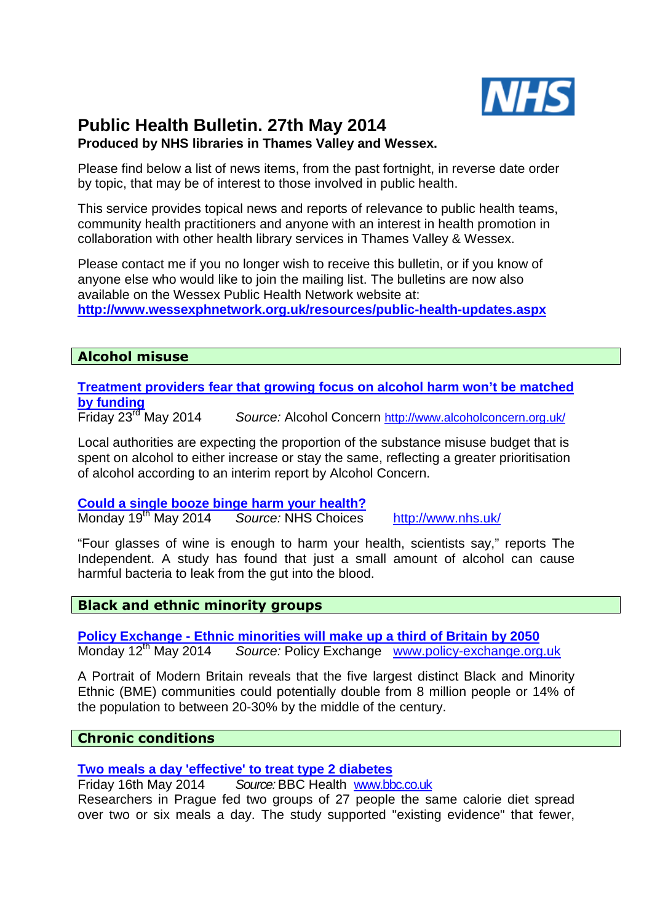

# **Public Health Bulletin. 27th May 2014**

# **Produced by NHS libraries in Thames Valley and Wessex.**

Please find below a list of news items, from the past fortnight, in reverse date order by topic, that may be of interest to those involved in public health.

This service provides topical news and reports of relevance to public health teams, community health practitioners and anyone with an interest in health promotion in collaboration with other health library services in Thames Valley & Wessex.

Please contact me if you no longer wish to receive this bulletin, or if you know of anyone else who would like to join the mailing list. The bulletins are now also available on the Wessex Public Health Network website at: **http://www.wessexphnetwork.org.uk/resources/public-health-updates.aspx** 

# **Alcohol misuse**

**Treatment providers fear that growing focus on alcohol harm won't be matched by funding** 

Source: Alcohol Concern http://www.alcoholconcern.org.uk/

Local authorities are expecting the proportion of the substance misuse budget that is spent on alcohol to either increase or stay the same, reflecting a greater prioritisation of alcohol according to an interim report by Alcohol Concern.

# **Could a single booze binge harm your health?**

Monday 19<sup>th</sup> May 2014 Source: NHS Choices http://www.nhs.uk/

"Four glasses of wine is enough to harm your health, scientists say," reports The Independent. A study has found that just a small amount of alcohol can cause harmful bacteria to leak from the gut into the blood.

# **Black and ethnic minority groups**

**Policy Exchange - Ethnic minorities will make up a third of Britain by 2050**  Monday 12<sup>th</sup> May 2014 Source: Policy Exchange www.policy-exchange.org.uk

A Portrait of Modern Britain reveals that the five largest distinct Black and Minority Ethnic (BME) communities could potentially double from 8 million people or 14% of the population to between 20-30% by the middle of the century.

#### **Chronic conditions**

**Two meals a day 'effective' to treat type 2 diabetes** 

Friday 16th May 2014 Source: BBC Health www.bbc.co.uk

Researchers in Prague fed two groups of 27 people the same calorie diet spread over two or six meals a day. The study supported "existing evidence" that fewer,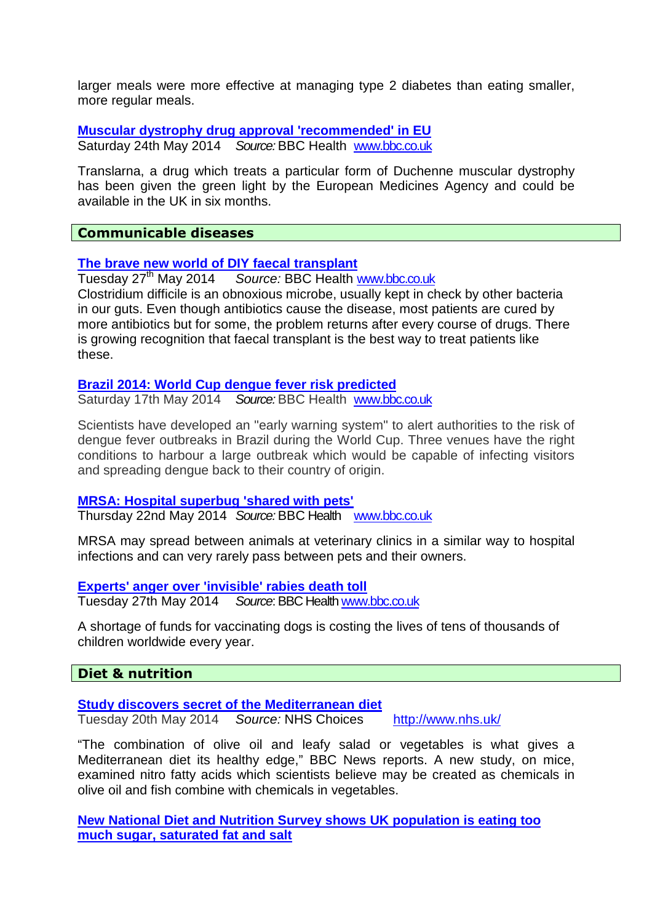larger meals were more effective at managing type 2 diabetes than eating smaller, more regular meals.

**Muscular dystrophy drug approval 'recommended' in EU**  Saturday 24th May 2014 Source: BBC Health www.bbc.co.uk

Translarna, a drug which treats a particular form of Duchenne muscular dystrophy has been given the green light by the European Medicines Agency and could be available in the UK in six months.

# **Communicable diseases**

#### **The brave new world of DIY faecal transplant**

Tuesday 27<sup>th</sup> May 2014 Source: BBC Health www.bbc.co.uk Clostridium difficile is an obnoxious microbe, usually kept in check by other bacteria in our guts. Even though antibiotics cause the disease, most patients are cured by more antibiotics but for some, the problem returns after every course of drugs. There is growing recognition that faecal transplant is the best way to treat patients like these.

#### **Brazil 2014: World Cup dengue fever risk predicted**

Saturday 17th May 2014 Source: BBC Health www.bbc.co.uk

Scientists have developed an "early warning system" to alert authorities to the risk of dengue fever outbreaks in Brazil during the World Cup. Three venues have the right conditions to harbour a large outbreak which would be capable of infecting visitors and spreading dengue back to their country of origin.

#### **MRSA: Hospital superbug 'shared with pets'**

Thursday 22nd May 2014 Source: BBC Health www.bbc.co.uk

MRSA may spread between animals at veterinary clinics in a similar way to hospital infections and can very rarely pass between pets and their owners.

#### **Experts' anger over 'invisible' rabies death toll**

Tuesday 27th May 2014 Source: BBC Health www.bbc.co.uk

A shortage of funds for vaccinating dogs is costing the lives of tens of thousands of children worldwide every year.

#### **Diet & nutrition**

# **Study discovers secret of the Mediterranean diet**

Tuesday 20th May 2014 Source: NHS Choices http://www.nhs.uk/

"The combination of olive oil and leafy salad or vegetables is what gives a Mediterranean diet its healthy edge," BBC News reports. A new study, on mice, examined nitro fatty acids which scientists believe may be created as chemicals in olive oil and fish combine with chemicals in vegetables.

**New National Diet and Nutrition Survey shows UK population is eating too much sugar, saturated fat and salt**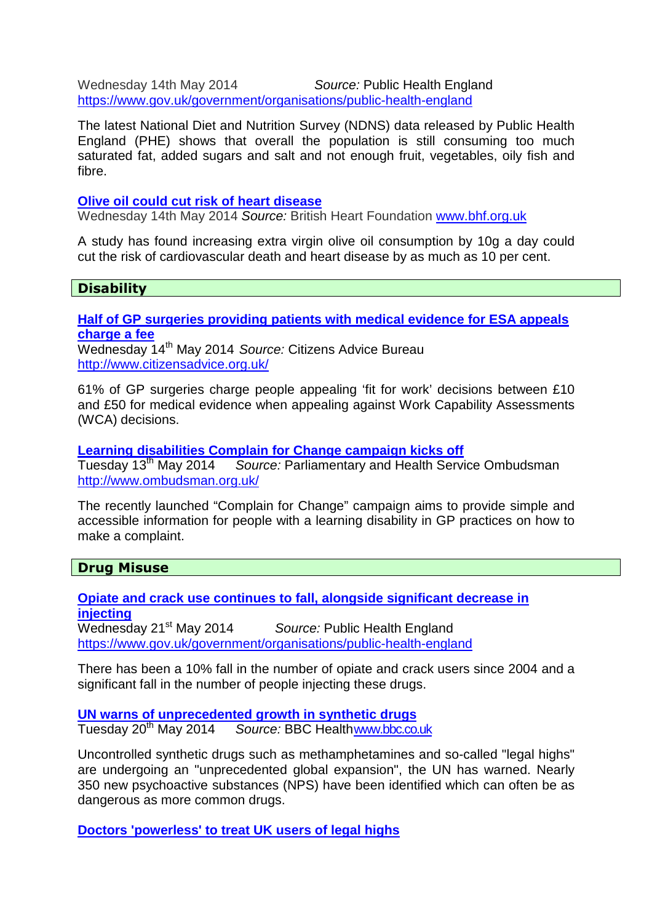Wednesday 14th May 2014 Source: Public Health England https://www.gov.uk/government/organisations/public-health-england

The latest National Diet and Nutrition Survey (NDNS) data released by Public Health England (PHE) shows that overall the population is still consuming too much saturated fat, added sugars and salt and not enough fruit, vegetables, oily fish and fibre.

# **Olive oil could cut risk of heart disease**

Wednesday 14th May 2014 Source: British Heart Foundation www.bhf.org.uk

A study has found increasing extra virgin olive oil consumption by 10g a day could cut the risk of cardiovascular death and heart disease by as much as 10 per cent.

# **Disability**

**Half of GP surgeries providing patients with medical evidence for ESA appeals charge a fee** 

Wednesday 14<sup>th</sup> May 2014 Source: Citizens Advice Bureau http://www.citizensadvice.org.uk/

61% of GP surgeries charge people appealing 'fit for work' decisions between £10 and £50 for medical evidence when appealing against Work Capability Assessments (WCA) decisions.

# **Learning disabilities Complain for Change campaign kicks off**

Source: Parliamentary and Health Service Ombudsman http://www.ombudsman.org.uk/

The recently launched "Complain for Change" campaign aims to provide simple and accessible information for people with a learning disability in GP practices on how to make a complaint.

#### **Drug Misuse**

**Opiate and crack use continues to fall, alongside significant decrease in injecting**  Wednesday 21<sup>st</sup> May 2014 Source: Public Health England https://www.gov.uk/government/organisations/public-health-england

There has been a 10% fall in the number of opiate and crack users since 2004 and a significant fall in the number of people injecting these drugs.

**UN warns of unprecedented growth in synthetic drugs** Tuesday 20<sup>th</sup> May 2014 Source: BBC Health www.bbc.co.uk

Uncontrolled synthetic drugs such as methamphetamines and so-called "legal highs" are undergoing an "unprecedented global expansion", the UN has warned. Nearly 350 new psychoactive substances (NPS) have been identified which can often be as dangerous as more common drugs.

**Doctors 'powerless' to treat UK users of legal highs**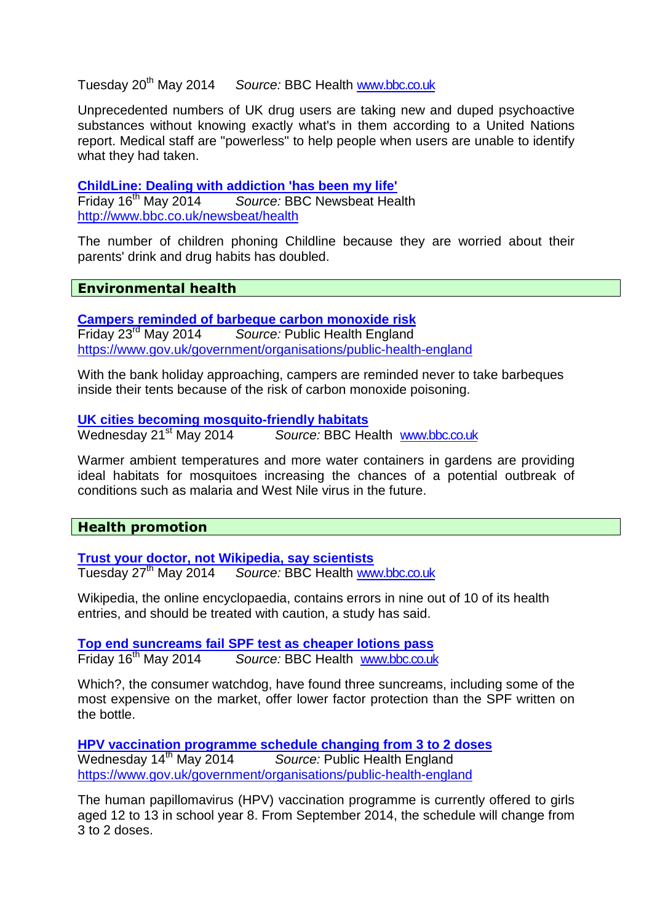# Tuesday 20th May 2014 Source: BBC Health www.bbc.co.uk

Unprecedented numbers of UK drug users are taking new and duped psychoactive substances without knowing exactly what's in them according to a United Nations report. Medical staff are "powerless" to help people when users are unable to identify what they had taken.

**ChildLine: Dealing with addiction 'has been my life'**  Friday 16<sup>th</sup> May 2014 Source: BBC Newsbeat Health http://www.bbc.co.uk/newsbeat/health

The number of children phoning Childline because they are worried about their parents' drink and drug habits has doubled.

**Environmental health** 

**Campers reminded of barbeque carbon monoxide risk**  Friday 23<sup>rd</sup> May 2014 Source: Public Health England https://www.gov.uk/government/organisations/public-health-england

With the bank holiday approaching, campers are reminded never to take barbeques inside their tents because of the risk of carbon monoxide poisoning.

#### **UK cities becoming mosquito-friendly habitats**

Wednesday 21<sup>st</sup> May 2014 Source: BBC Health www.bbc.co.uk

Warmer ambient temperatures and more water containers in gardens are providing ideal habitats for mosquitoes increasing the chances of a potential outbreak of conditions such as malaria and West Nile virus in the future.

# **Health promotion**

**Trust your doctor, not Wikipedia, say scientists** 

Tuesday 27<sup>th</sup> May 2014 Source: BBC Health www.bbc.co.uk

Wikipedia, the online encyclopaedia, contains errors in nine out of 10 of its health entries, and should be treated with caution, a study has said.

**Top end suncreams fail SPF test as cheaper lotions pass**  Friday 16<sup>th</sup> May 2014 Source: BBC Health www.bbc.co.uk

Which?, the consumer watchdog, have found three suncreams, including some of the most expensive on the market, offer lower factor protection than the SPF written on the bottle.

**HPV vaccination programme schedule changing from 3 to 2 doses**  Wednesday 14<sup>th</sup> May 2014 Source: Public Health England https://www.gov.uk/government/organisations/public-health-england

The human papillomavirus (HPV) vaccination programme is currently offered to girls aged 12 to 13 in school year 8. From September 2014, the schedule will change from 3 to 2 doses.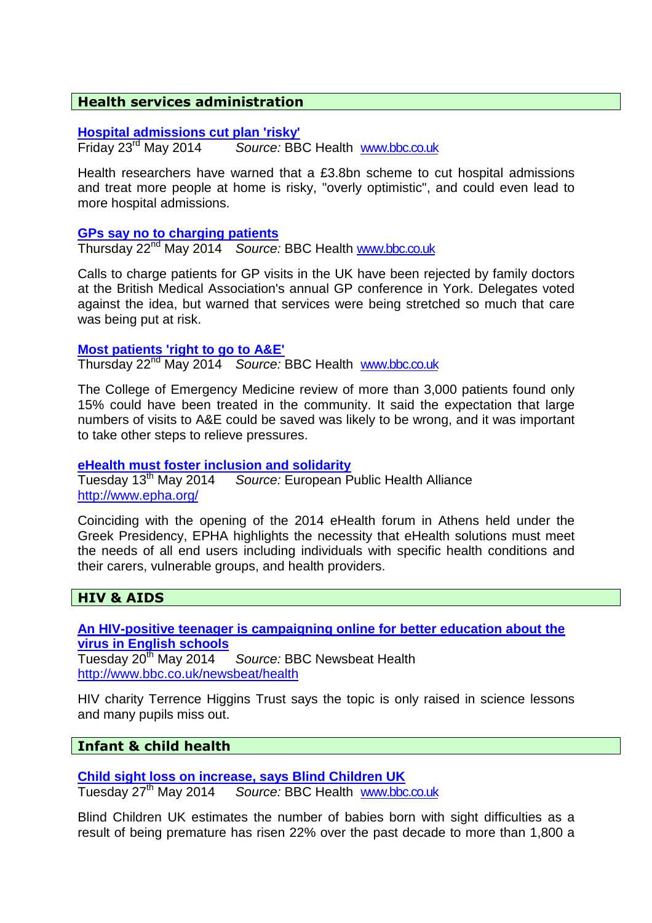# **Health services administration**

#### **Hospital admissions cut plan 'risky'**

Friday 23rd May 2014 Source: BBC Health www.bbc.co.uk

Health researchers have warned that a £3.8bn scheme to cut hospital admissions and treat more people at home is risky, "overly optimistic", and could even lead to more hospital admissions.

#### **GPs say no to charging patients**

Thursday 22<sup>nd</sup> May 2014 Source: BBC Health www.bbc.co.uk

Calls to charge patients for GP visits in the UK have been rejected by family doctors at the British Medical Association's annual GP conference in York. Delegates voted against the idea, but warned that services were being stretched so much that care was being put at risk.

#### **Most patients 'right to go to A&E'**

Thursday 22<sup>nd</sup> May 2014 Source: BBC Health www.bbc.co.uk

The College of Emergency Medicine review of more than 3,000 patients found only 15% could have been treated in the community. It said the expectation that large numbers of visits to A&E could be saved was likely to be wrong, and it was important to take other steps to relieve pressures.

#### **eHealth must foster inclusion and solidarity**

Tuesday 13<sup>th</sup> May 2014 Source: European Public Health Alliance http://www.epha.org/

Coinciding with the opening of the 2014 eHealth forum in Athens held under the Greek Presidency, EPHA highlights the necessity that eHealth solutions must meet the needs of all end users including individuals with specific health conditions and their carers, vulnerable groups, and health providers.

#### **HIV & AIDS**

**An HIV-positive teenager is campaigning online for better education about the virus in English schools** 

Source: BBC Newsbeat Health http://www.bbc.co.uk/newsbeat/health

HIV charity Terrence Higgins Trust says the topic is only raised in science lessons and many pupils miss out.

#### **Infant & child health**

**Child sight loss on increase, says Blind Children UK** 

Tuesday 27<sup>th</sup> May 2014 Source: BBC Health www.bbc.co.uk

Blind Children UK estimates the number of babies born with sight difficulties as a result of being premature has risen 22% over the past decade to more than 1,800 a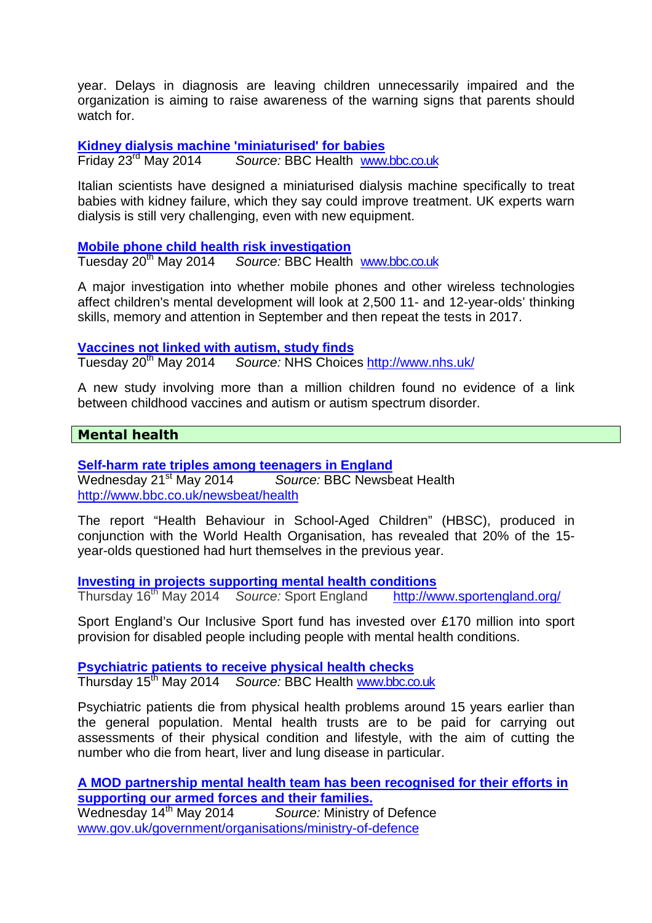year. Delays in diagnosis are leaving children unnecessarily impaired and the organization is aiming to raise awareness of the warning signs that parents should watch for.

**Kidney dialysis machine 'miniaturised' for babies**  Friday 23rd May 2014 Source: BBC Health www.bbc.co.uk

Italian scientists have designed a miniaturised dialysis machine specifically to treat babies with kidney failure, which they say could improve treatment. UK experts warn dialysis is still very challenging, even with new equipment.

**Mobile phone child health risk investigation** 

Tuesday 20<sup>th</sup> May 2014 Source: BBC Health www.bbc.co.uk

A major investigation into whether mobile phones and other wireless technologies affect children's mental development will look at 2,500 11- and 12-year-olds' thinking skills, memory and attention in September and then repeat the tests in 2017.

# **Vaccines not linked with autism, study finds**

Tuesday 20<sup>th</sup> May 2014 Source: NHS Choices http://www.nhs.uk/

A new study involving more than a million children found no evidence of a link between childhood vaccines and autism or autism spectrum disorder.

# **Mental health**

**Self-harm rate triples among teenagers in England**  Wednesday 21<sup>st</sup> May 2014 Source: BBC Newsbeat Health http://www.bbc.co.uk/newsbeat/health

The report "Health Behaviour in School-Aged Children" (HBSC), produced in conjunction with the World Health Organisation, has revealed that 20% of the 15 year-olds questioned had hurt themselves in the previous year.

**Investing in projects supporting mental health conditions** 

Thursday 16th May 2014 Source: Sport England http://www.sportengland.org/

Sport England's Our Inclusive Sport fund has invested over £170 million into sport provision for disabled people including people with mental health conditions.

**Psychiatric patients to receive physical health checks**  Thursday 15th May 2014 Source: BBC Health www.bbc.co.uk

Psychiatric patients die from physical health problems around 15 years earlier than the general population. Mental health trusts are to be paid for carrying out assessments of their physical condition and lifestyle, with the aim of cutting the number who die from heart, liver and lung disease in particular.

**A MOD partnership mental health team has been recognised for their efforts in supporting our armed forces and their families.** 

Wednesday 14<sup>th</sup> May 2014 Source: Ministry of Defence www.gov.uk/government/organisations/ministry-of-defence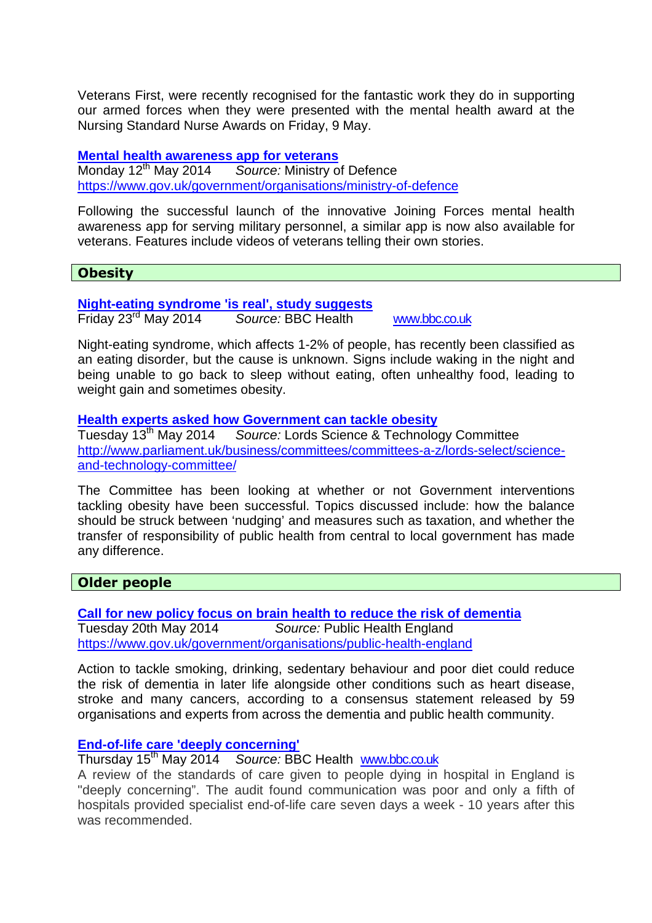Veterans First, were recently recognised for the fantastic work they do in supporting our armed forces when they were presented with the mental health award at the Nursing Standard Nurse Awards on Friday, 9 May.

**Mental health awareness app for veterans**  Monday 12<sup>th</sup> May 2014 Source: Ministry of Defence https://www.gov.uk/government/organisations/ministry-of-defence

Following the successful launch of the innovative Joining Forces mental health awareness app for serving military personnel, a similar app is now also available for veterans. Features include videos of veterans telling their own stories.

# **Obesity**

#### **Night-eating syndrome 'is real', study suggests**

Friday 23rd May 2014 Source: BBC Health www.bbc.co.uk

Night-eating syndrome, which affects 1-2% of people, has recently been classified as an eating disorder, but the cause is unknown. Signs include waking in the night and being unable to go back to sleep without eating, often unhealthy food, leading to weight gain and sometimes obesity.

#### **Health experts asked how Government can tackle obesity**

Tuesday 13<sup>th</sup> May 2014 Source: Lords Science & Technology Committee http://www.parliament.uk/business/committees/committees-a-z/lords-select/scienceand-technology-committee/

The Committee has been looking at whether or not Government interventions tackling obesity have been successful. Topics discussed include: how the balance should be struck between 'nudging' and measures such as taxation, and whether the transfer of responsibility of public health from central to local government has made any difference.

# **Older people**

**Call for new policy focus on brain health to reduce the risk of dementia**  Tuesday 20th May 2014 Source: Public Health England https://www.gov.uk/government/organisations/public-health-england

Action to tackle smoking, drinking, sedentary behaviour and poor diet could reduce the risk of dementia in later life alongside other conditions such as heart disease, stroke and many cancers, according to a consensus statement released by 59 organisations and experts from across the dementia and public health community.

# **End-of-life care 'deeply concerning'**

Thursday 15th May 2014 Source: BBC Health www.bbc.co.uk

A review of the standards of care given to people dying in hospital in England is "deeply concerning". The audit found communication was poor and only a fifth of hospitals provided specialist end-of-life care seven days a week - 10 years after this was recommended.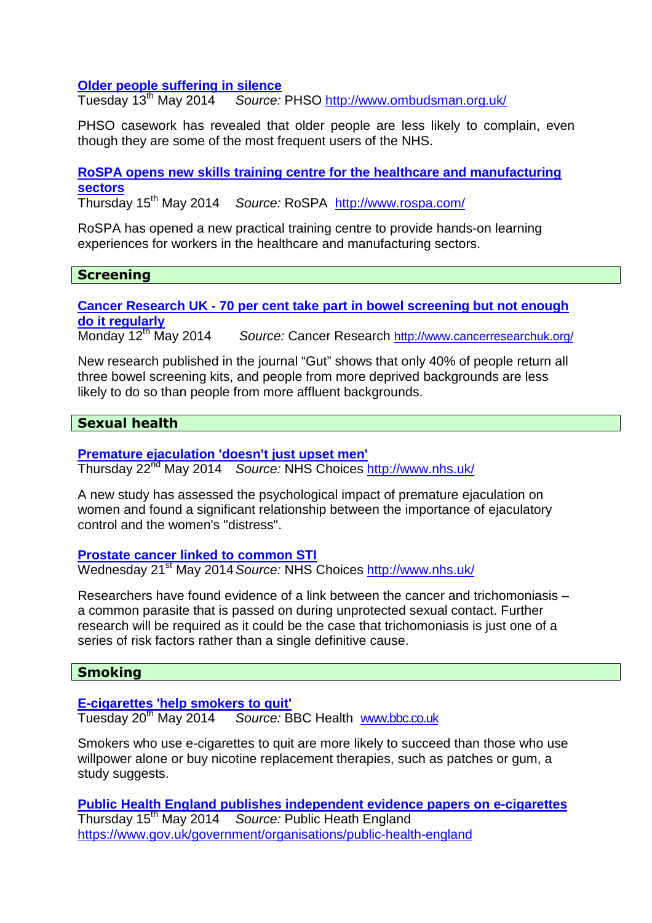# **Older people suffering in silence**<br>Tuesday 13<sup>th</sup> May 2014 Source:

Source: PHSO http://www.ombudsman.org.uk/

PHSO casework has revealed that older people are less likely to complain, even though they are some of the most frequent users of the NHS.

**RoSPA opens new skills training centre for the healthcare and manufacturing sectors** 

Thursday 15th May 2014 Source: RoSPA http://www.rospa.com/

RoSPA has opened a new practical training centre to provide hands-on learning experiences for workers in the healthcare and manufacturing sectors.

# **Screening**

**Cancer Research UK - 70 per cent take part in bowel screening but not enough do it regularly** 

Source: Cancer Research http://www.cancerresearchuk.org/

New research published in the journal "Gut" shows that only 40% of people return all three bowel screening kits, and people from more deprived backgrounds are less likely to do so than people from more affluent backgrounds.

# **Sexual health**

# **Premature ejaculation 'doesn't just upset men'**

Thursday 22<sup>nd</sup> May 2014 Source: NHS Choices http://www.nhs.uk/

A new study has assessed the psychological impact of premature ejaculation on women and found a significant relationship between the importance of ejaculatory control and the women's "distress".

#### **Prostate cancer linked to common STI**

Wednesday 21<sup>st</sup> May 2014 Source: NHS Choices http://www.nhs.uk/

Researchers have found evidence of a link between the cancer and trichomoniasis – a common parasite that is passed on during unprotected sexual contact. Further research will be required as it could be the case that trichomoniasis is just one of a series of risk factors rather than a single definitive cause.

# **Smoking**

**E-cigarettes 'help smokers to quit'** 

Tuesday 20th May 2014 Source: BBC Health www.bbc.co.uk

Smokers who use e-cigarettes to quit are more likely to succeed than those who use willpower alone or buy nicotine replacement therapies, such as patches or gum, a study suggests.

**Public Health England publishes independent evidence papers on e-cigarettes**  Thursday 15<sup>th</sup> May 2014 Source: Public Heath England https://www.gov.uk/government/organisations/public-health-england